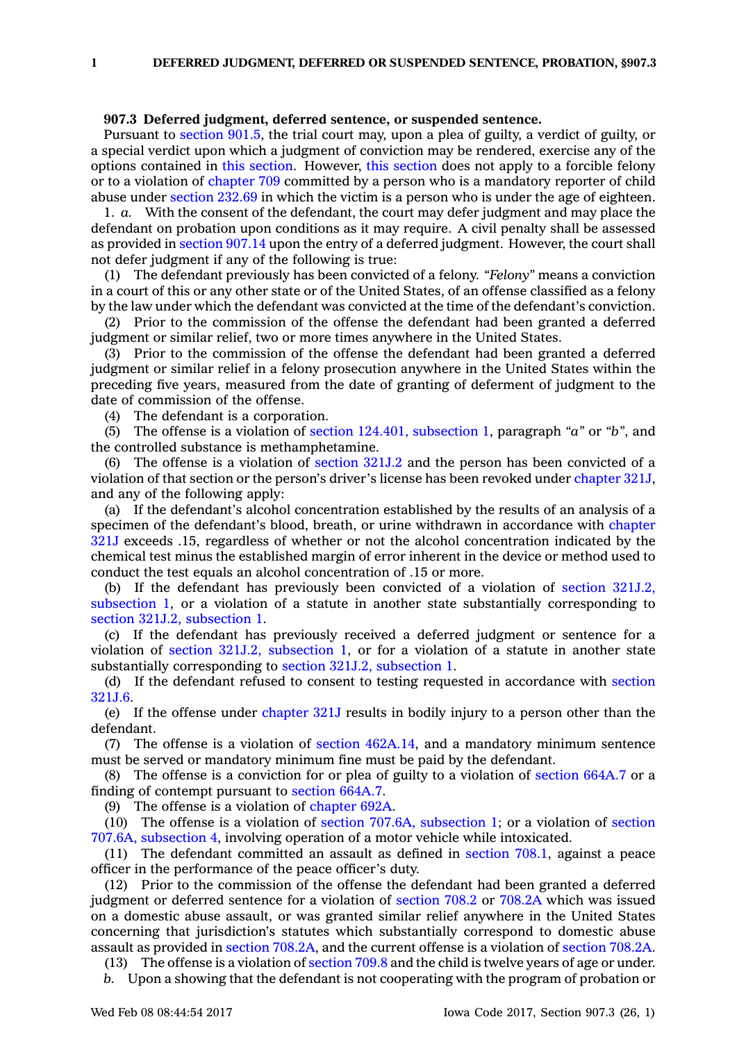## **907.3 Deferred judgment, deferred sentence, or suspended sentence.**

Pursuant to [section](https://www.legis.iowa.gov/docs/code/901.5.pdf) 901.5, the trial court may, upon <sup>a</sup> plea of guilty, <sup>a</sup> verdict of guilty, or <sup>a</sup> special verdict upon which <sup>a</sup> judgment of conviction may be rendered, exercise any of the options contained in this [section](https://www.legis.iowa.gov/docs/code/907.3.pdf). However, this [section](https://www.legis.iowa.gov/docs/code/907.3.pdf) does not apply to <sup>a</sup> forcible felony or to <sup>a</sup> violation of [chapter](https://www.legis.iowa.gov/docs/code//709.pdf) 709 committed by <sup>a</sup> person who is <sup>a</sup> mandatory reporter of child abuse under [section](https://www.legis.iowa.gov/docs/code/232.69.pdf) 232.69 in which the victim is <sup>a</sup> person who is under the age of eighteen.

1. *a.* With the consent of the defendant, the court may defer judgment and may place the defendant on probation upon conditions as it may require. A civil penalty shall be assessed as provided in [section](https://www.legis.iowa.gov/docs/code/907.14.pdf) 907.14 upon the entry of <sup>a</sup> deferred judgment. However, the court shall not defer judgment if any of the following is true:

(1) The defendant previously has been convicted of <sup>a</sup> felony. *"Felony"* means <sup>a</sup> conviction in <sup>a</sup> court of this or any other state or of the United States, of an offense classified as <sup>a</sup> felony by the law under which the defendant was convicted at the time of the defendant's conviction.

(2) Prior to the commission of the offense the defendant had been granted <sup>a</sup> deferred judgment or similar relief, two or more times anywhere in the United States.

(3) Prior to the commission of the offense the defendant had been granted <sup>a</sup> deferred judgment or similar relief in <sup>a</sup> felony prosecution anywhere in the United States within the preceding five years, measured from the date of granting of deferment of judgment to the date of commission of the offense.

(4) The defendant is <sup>a</sup> corporation.

(5) The offense is <sup>a</sup> violation of section 124.401, [subsection](https://www.legis.iowa.gov/docs/code/124.401.pdf) 1, paragraph *"a"* or *"b"*, and the controlled substance is methamphetamine.

(6) The offense is <sup>a</sup> violation of [section](https://www.legis.iowa.gov/docs/code/321J.2.pdf) 321J.2 and the person has been convicted of <sup>a</sup> violation of that section or the person's driver's license has been revoked under [chapter](https://www.legis.iowa.gov/docs/code//321J.pdf) 321J, and any of the following apply:

(a) If the defendant's alcohol concentration established by the results of an analysis of <sup>a</sup> specimen of the defendant's blood, breath, or urine withdrawn in accordance with [chapter](https://www.legis.iowa.gov/docs/code//321J.pdf) [321J](https://www.legis.iowa.gov/docs/code//321J.pdf) exceeds .15, regardless of whether or not the alcohol concentration indicated by the chemical test minus the established margin of error inherent in the device or method used to conduct the test equals an alcohol concentration of .15 or more.

(b) If the defendant has previously been convicted of <sup>a</sup> violation of section [321J.2,](https://www.legis.iowa.gov/docs/code/321J.2.pdf) [subsection](https://www.legis.iowa.gov/docs/code/321J.2.pdf) 1, or <sup>a</sup> violation of <sup>a</sup> statute in another state substantially corresponding to section 321J.2, [subsection](https://www.legis.iowa.gov/docs/code/321J.2.pdf) 1.

(c) If the defendant has previously received <sup>a</sup> deferred judgment or sentence for <sup>a</sup> violation of section 321J.2, [subsection](https://www.legis.iowa.gov/docs/code/321J.2.pdf) 1, or for <sup>a</sup> violation of <sup>a</sup> statute in another state substantially corresponding to section 321J.2, [subsection](https://www.legis.iowa.gov/docs/code/321J.2.pdf) 1.

(d) If the defendant refused to consent to testing requested in accordance with [section](https://www.legis.iowa.gov/docs/code/321J.6.pdf) [321J.6](https://www.legis.iowa.gov/docs/code/321J.6.pdf).

(e) If the offense under [chapter](https://www.legis.iowa.gov/docs/code//321J.pdf) 321J results in bodily injury to <sup>a</sup> person other than the defendant.

(7) The offense is <sup>a</sup> violation of section [462A.14](https://www.legis.iowa.gov/docs/code/462A.14.pdf), and <sup>a</sup> mandatory minimum sentence must be served or mandatory minimum fine must be paid by the defendant.

(8) The offense is <sup>a</sup> conviction for or plea of guilty to <sup>a</sup> violation of [section](https://www.legis.iowa.gov/docs/code/664A.7.pdf) 664A.7 or <sup>a</sup> finding of contempt pursuant to [section](https://www.legis.iowa.gov/docs/code/664A.7.pdf) 664A.7.

(9) The offense is <sup>a</sup> violation of [chapter](https://www.legis.iowa.gov/docs/code//692A.pdf) 692A.

(10) The offense is <sup>a</sup> violation of section 707.6A, [subsection](https://www.legis.iowa.gov/docs/code/707.6A.pdf) 1; or <sup>a</sup> violation of [section](https://www.legis.iowa.gov/docs/code/707.6A.pdf) 707.6A, [subsection](https://www.legis.iowa.gov/docs/code/707.6A.pdf) 4, involving operation of <sup>a</sup> motor vehicle while intoxicated.

(11) The defendant committed an assault as defined in [section](https://www.legis.iowa.gov/docs/code/708.1.pdf) 708.1, against <sup>a</sup> peace officer in the performance of the peace officer's duty.

(12) Prior to the commission of the offense the defendant had been granted <sup>a</sup> deferred judgment or deferred sentence for <sup>a</sup> violation of [section](https://www.legis.iowa.gov/docs/code/708.2.pdf) 708.2 or [708.2A](https://www.legis.iowa.gov/docs/code/708.2A.pdf) which was issued on <sup>a</sup> domestic abuse assault, or was granted similar relief anywhere in the United States concerning that jurisdiction's statutes which substantially correspond to domestic abuse assault as provided in section [708.2A](https://www.legis.iowa.gov/docs/code/708.2A.pdf), and the current offense is <sup>a</sup> violation of [section](https://www.legis.iowa.gov/docs/code/708.2A.pdf) 708.2A.

(13) The offense is <sup>a</sup> violation of [section](https://www.legis.iowa.gov/docs/code/709.8.pdf) 709.8 and the child is twelve years of age or under.

*b.* Upon <sup>a</sup> showing that the defendant is not cooperating with the program of probation or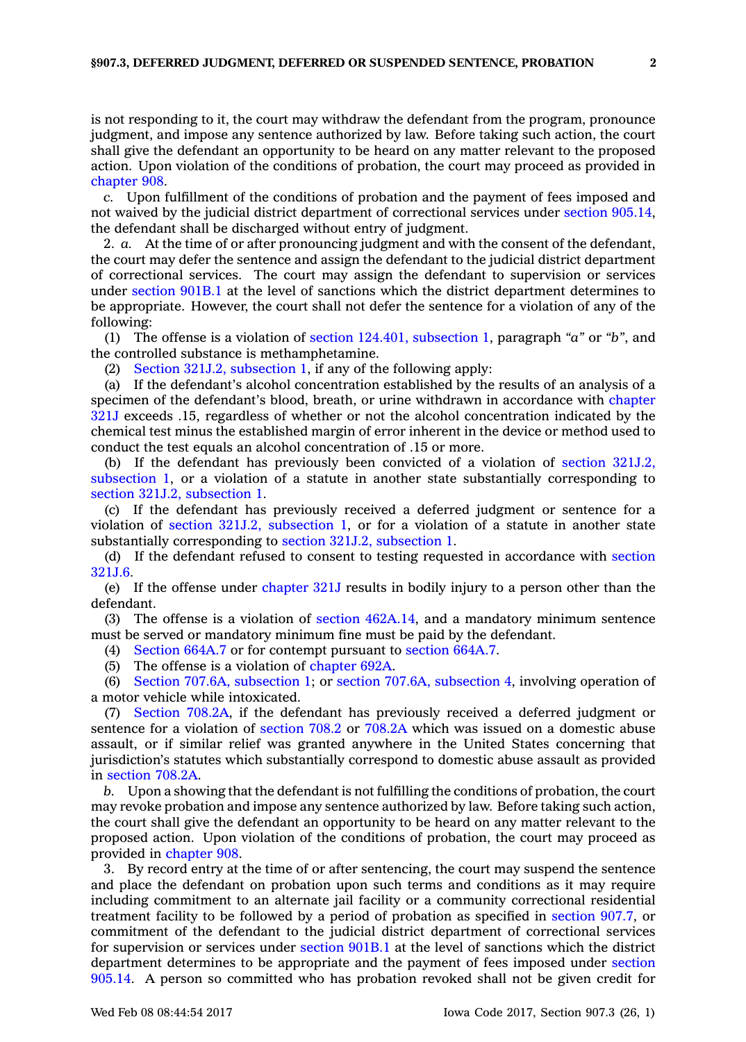is not responding to it, the court may withdraw the defendant from the program, pronounce judgment, and impose any sentence authorized by law. Before taking such action, the court shall give the defendant an opportunity to be heard on any matter relevant to the proposed action. Upon violation of the conditions of probation, the court may proceed as provided in [chapter](https://www.legis.iowa.gov/docs/code//908.pdf) 908.

*c.* Upon fulfillment of the conditions of probation and the payment of fees imposed and not waived by the judicial district department of correctional services under section [905.14](https://www.legis.iowa.gov/docs/code/905.14.pdf), the defendant shall be discharged without entry of judgment.

2. *a.* At the time of or after pronouncing judgment and with the consent of the defendant, the court may defer the sentence and assign the defendant to the judicial district department of correctional services. The court may assign the defendant to supervision or services under [section](https://www.legis.iowa.gov/docs/code/901B.1.pdf) 901B.1 at the level of sanctions which the district department determines to be appropriate. However, the court shall not defer the sentence for <sup>a</sup> violation of any of the following:

(1) The offense is <sup>a</sup> violation of section 124.401, [subsection](https://www.legis.iowa.gov/docs/code/124.401.pdf) 1, paragraph *"a"* or *"b"*, and the controlled substance is methamphetamine.

(2) Section 321J.2, [subsection](https://www.legis.iowa.gov/docs/code/321J.2.pdf) 1, if any of the following apply:

(a) If the defendant's alcohol concentration established by the results of an analysis of <sup>a</sup> specimen of the defendant's blood, breath, or urine withdrawn in accordance with [chapter](https://www.legis.iowa.gov/docs/code//321J.pdf) [321J](https://www.legis.iowa.gov/docs/code//321J.pdf) exceeds .15, regardless of whether or not the alcohol concentration indicated by the chemical test minus the established margin of error inherent in the device or method used to conduct the test equals an alcohol concentration of .15 or more.

(b) If the defendant has previously been convicted of <sup>a</sup> violation of section [321J.2,](https://www.legis.iowa.gov/docs/code/321J.2.pdf) [subsection](https://www.legis.iowa.gov/docs/code/321J.2.pdf) 1, or <sup>a</sup> violation of <sup>a</sup> statute in another state substantially corresponding to section 321J.2, [subsection](https://www.legis.iowa.gov/docs/code/321J.2.pdf) 1.

(c) If the defendant has previously received <sup>a</sup> deferred judgment or sentence for <sup>a</sup> violation of section 321J.2, [subsection](https://www.legis.iowa.gov/docs/code/321J.2.pdf) 1, or for <sup>a</sup> violation of <sup>a</sup> statute in another state substantially corresponding to section 321J.2, [subsection](https://www.legis.iowa.gov/docs/code/321J.2.pdf) 1.

(d) If the defendant refused to consent to testing requested in accordance with [section](https://www.legis.iowa.gov/docs/code/321J.6.pdf) [321J.6](https://www.legis.iowa.gov/docs/code/321J.6.pdf).

(e) If the offense under [chapter](https://www.legis.iowa.gov/docs/code//321J.pdf) 321J results in bodily injury to <sup>a</sup> person other than the defendant.

(3) The offense is <sup>a</sup> violation of section [462A.14](https://www.legis.iowa.gov/docs/code/462A.14.pdf), and <sup>a</sup> mandatory minimum sentence must be served or mandatory minimum fine must be paid by the defendant.

(4) [Section](https://www.legis.iowa.gov/docs/code/664A.7.pdf) 664A.7 or for contempt pursuant to [section](https://www.legis.iowa.gov/docs/code/664A.7.pdf) 664A.7.

(5) The offense is <sup>a</sup> violation of [chapter](https://www.legis.iowa.gov/docs/code//692A.pdf) 692A.

(6) Section 707.6A, [subsection](https://www.legis.iowa.gov/docs/code/707.6A.pdf) 1; or section 707.6A, [subsection](https://www.legis.iowa.gov/docs/code/707.6A.pdf) 4, involving operation of <sup>a</sup> motor vehicle while intoxicated.

(7) Section [708.2A](https://www.legis.iowa.gov/docs/code/708.2A.pdf), if the defendant has previously received <sup>a</sup> deferred judgment or sentence for <sup>a</sup> violation of [section](https://www.legis.iowa.gov/docs/code/708.2.pdf) 708.2 or [708.2A](https://www.legis.iowa.gov/docs/code/708.2A.pdf) which was issued on <sup>a</sup> domestic abuse assault, or if similar relief was granted anywhere in the United States concerning that jurisdiction's statutes which substantially correspond to domestic abuse assault as provided in [section](https://www.legis.iowa.gov/docs/code/708.2A.pdf) 708.2A.

*b.* Upon <sup>a</sup> showing that the defendant is not fulfilling the conditions of probation, the court may revoke probation and impose any sentence authorized by law. Before taking such action, the court shall give the defendant an opportunity to be heard on any matter relevant to the proposed action. Upon violation of the conditions of probation, the court may proceed as provided in [chapter](https://www.legis.iowa.gov/docs/code//908.pdf) 908.

3. By record entry at the time of or after sentencing, the court may suspend the sentence and place the defendant on probation upon such terms and conditions as it may require including commitment to an alternate jail facility or <sup>a</sup> community correctional residential treatment facility to be followed by <sup>a</sup> period of probation as specified in [section](https://www.legis.iowa.gov/docs/code/907.7.pdf) 907.7, or commitment of the defendant to the judicial district department of correctional services for supervision or services under [section](https://www.legis.iowa.gov/docs/code/901B.1.pdf) 901B.1 at the level of sanctions which the district department determines to be appropriate and the payment of fees imposed under [section](https://www.legis.iowa.gov/docs/code/905.14.pdf) [905.14](https://www.legis.iowa.gov/docs/code/905.14.pdf). A person so committed who has probation revoked shall not be given credit for